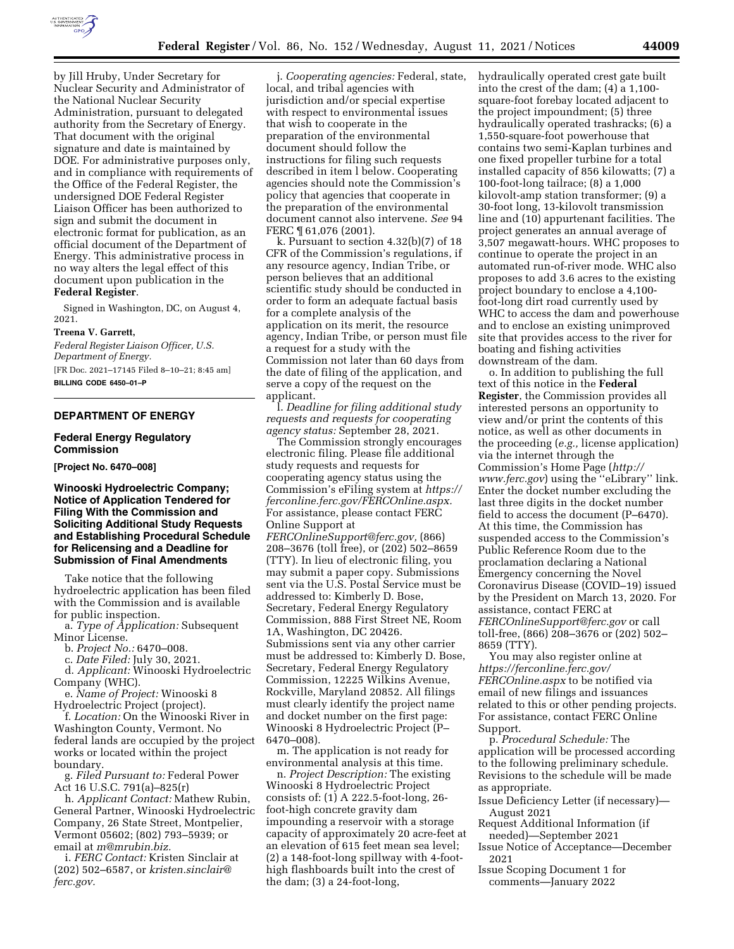

by Jill Hruby, Under Secretary for Nuclear Security and Administrator of the National Nuclear Security Administration, pursuant to delegated authority from the Secretary of Energy. That document with the original signature and date is maintained by DOE. For administrative purposes only, and in compliance with requirements of the Office of the Federal Register, the undersigned DOE Federal Register Liaison Officer has been authorized to sign and submit the document in electronic format for publication, as an official document of the Department of Energy. This administrative process in no way alters the legal effect of this document upon publication in the **Federal Register**.

Signed in Washington, DC, on August 4, 2021.

#### **Treena V. Garrett,**

*Federal Register Liaison Officer, U.S. Department of Energy.*  [FR Doc. 2021–17145 Filed 8–10–21; 8:45 am] **BILLING CODE 6450–01–P** 

# **DEPARTMENT OF ENERGY**

#### **Federal Energy Regulatory Commission**

**[Project No. 6470–008]** 

**Winooski Hydroelectric Company; Notice of Application Tendered for Filing With the Commission and Soliciting Additional Study Requests and Establishing Procedural Schedule for Relicensing and a Deadline for Submission of Final Amendments** 

Take notice that the following hydroelectric application has been filed with the Commission and is available for public inspection.

a. *Type of Application:* Subsequent Minor License.

b. *Project No.:* 6470–008.

c. *Date Filed:* July 30, 2021. d. *Applicant:* Winooski Hydroelectric

Company (WHC). e. *Name of Project:* Winooski 8

Hydroelectric Project (project).

f. *Location:* On the Winooski River in Washington County, Vermont. No federal lands are occupied by the project works or located within the project boundary.

g. *Filed Pursuant to:* Federal Power Act 16 U.S.C. 791(a)–825(r)

h. *Applicant Contact:* Mathew Rubin, General Partner, Winooski Hydroelectric Company, 26 State Street, Montpelier, Vermont 05602; (802) 793–5939; or email at *[m@mrubin.biz.](mailto:m@mrubin.biz)* 

i. *FERC Contact:* Kristen Sinclair at (202) 502–6587, or *[kristen.sinclair@](mailto:kristen.sinclair@ferc.gov) [ferc.gov.](mailto:kristen.sinclair@ferc.gov)* 

j. *Cooperating agencies:* Federal, state, local, and tribal agencies with jurisdiction and/or special expertise with respect to environmental issues that wish to cooperate in the preparation of the environmental document should follow the instructions for filing such requests described in item l below. Cooperating agencies should note the Commission's policy that agencies that cooperate in the preparation of the environmental document cannot also intervene. *See* 94 FERC ¶ 61,076 (2001).

k. Pursuant to section 4.32(b)(7) of 18 CFR of the Commission's regulations, if any resource agency, Indian Tribe, or person believes that an additional scientific study should be conducted in order to form an adequate factual basis for a complete analysis of the application on its merit, the resource agency, Indian Tribe, or person must file a request for a study with the Commission not later than 60 days from the date of filing of the application, and serve a copy of the request on the applicant.

l. *Deadline for filing additional study requests and requests for cooperating agency status:* September 28, 2021.

The Commission strongly encourages electronic filing. Please file additional study requests and requests for cooperating agency status using the Commission's eFiling system at *[https://](https://ferconline.ferc.gov/FERCOnline.aspx)  [ferconline.ferc.gov/FERCOnline.aspx.](https://ferconline.ferc.gov/FERCOnline.aspx)*  For assistance, please contact FERC Online Support at *[FERCOnlineSupport@ferc.gov,](mailto:FERCOnlineSupport@ferc.gov)* (866) 208–3676 (toll free), or (202) 502–8659 (TTY). In lieu of electronic filing, you may submit a paper copy. Submissions sent via the U.S. Postal Service must be addressed to: Kimberly D. Bose, Secretary, Federal Energy Regulatory Commission, 888 First Street NE, Room 1A, Washington, DC 20426. Submissions sent via any other carrier must be addressed to: Kimberly D. Bose, Secretary, Federal Energy Regulatory Commission, 12225 Wilkins Avenue, Rockville, Maryland 20852. All filings must clearly identify the project name and docket number on the first page: Winooski 8 Hydroelectric Project (P– 6470–008).

m. The application is not ready for environmental analysis at this time.

n. *Project Description:* The existing Winooski 8 Hydroelectric Project consists of: (1) A 222.5-foot-long, 26 foot-high concrete gravity dam impounding a reservoir with a storage capacity of approximately 20 acre-feet at an elevation of 615 feet mean sea level; (2) a 148-foot-long spillway with 4-foothigh flashboards built into the crest of the dam; (3) a 24-foot-long,

hydraulically operated crest gate built into the crest of the dam; (4) a 1,100 square-foot forebay located adjacent to the project impoundment; (5) three hydraulically operated trashracks; (6) a 1,550-square-foot powerhouse that contains two semi-Kaplan turbines and one fixed propeller turbine for a total installed capacity of 856 kilowatts; (7) a 100-foot-long tailrace; (8) a 1,000 kilovolt-amp station transformer; (9) a 30-foot long, 13-kilovolt transmission line and (10) appurtenant facilities. The project generates an annual average of 3,507 megawatt-hours. WHC proposes to continue to operate the project in an automated run-of-river mode. WHC also proposes to add 3.6 acres to the existing project boundary to enclose a 4,100 foot-long dirt road currently used by WHC to access the dam and powerhouse and to enclose an existing unimproved site that provides access to the river for boating and fishing activities downstream of the dam.

o. In addition to publishing the full text of this notice in the **Federal Register**, the Commission provides all interested persons an opportunity to view and/or print the contents of this notice, as well as other documents in the proceeding (*e.g.,* license application) via the internet through the Commission's Home Page (*[http://](http://www.ferc.gov) [www.ferc.gov](http://www.ferc.gov)*) using the ''eLibrary'' link. Enter the docket number excluding the last three digits in the docket number field to access the document (P–6470). At this time, the Commission has suspended access to the Commission's Public Reference Room due to the proclamation declaring a National Emergency concerning the Novel Coronavirus Disease (COVID–19) issued by the President on March 13, 2020. For assistance, contact FERC at *[FERCOnlineSupport@ferc.gov](mailto:FERCOnlineSupport@ferc.gov)* or call toll-free, (866) 208–3676 or (202) 502– 8659 (TTY).

You may also register online at *[https://ferconline.ferc.gov/](https://ferconline.ferc.gov/FERCOnline.aspx)  [FERCOnline.aspx](https://ferconline.ferc.gov/FERCOnline.aspx)* to be notified via email of new filings and issuances related to this or other pending projects. For assistance, contact FERC Online Support.

p. *Procedural Schedule:* The application will be processed according to the following preliminary schedule. Revisions to the schedule will be made as appropriate.

- Issue Deficiency Letter (if necessary)— August 2021
- Request Additional Information (if needed)—September 2021

Issue Notice of Acceptance—December 2021

Issue Scoping Document 1 for comments—January 2022